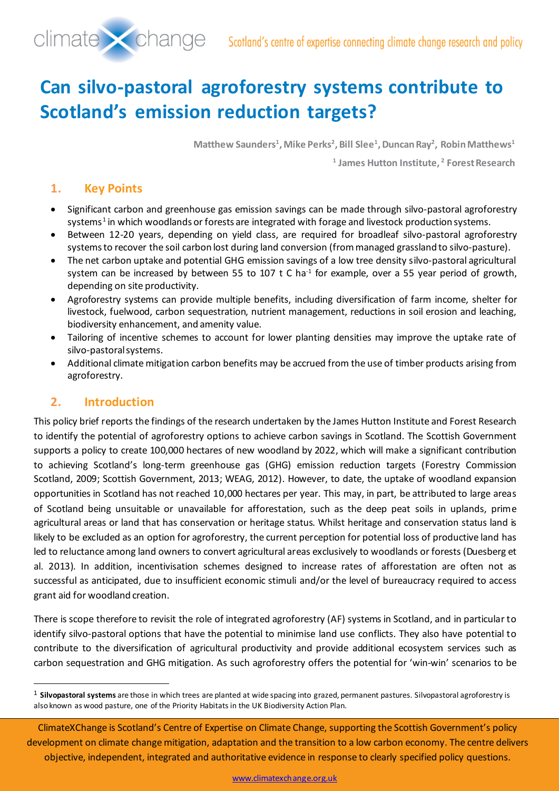

# **Can silvo-pastoral agroforestry systems contribute to Scotland's emission reduction targets?**

**Matthew Saunders1 , Mike Perks2, Bill Slee1, Duncan Ray2 , Robin Matthews1**

**<sup>1</sup> James Hutton Institute, 2 Forest Research**

## **1. Key Points**

- Significant carbon and greenhouse gas emission savings can be made through silvo-pastoral agroforestry systems<sup>[1](#page-0-0)</sup> in which woodlands or forests are integrated with forage and livestock production systems.
- Between 12-20 years, depending on yield class, are required for broadleaf silvo-pastoral agroforestry systemsto recover the soil carbon lost during land conversion (from managed grassland to silvo-pasture).
- The net carbon uptake and potential GHG emission savings of a low tree density silvo-pastoral agricultural system can be increased by between 55 to 107 t C ha<sup>-1</sup> for example, over a 55 year period of growth, depending on site productivity.
- Agroforestry systems can provide multiple benefits, including diversification of farm income, shelter for livestock, fuelwood, carbon sequestration, nutrient management, reductions in soil erosion and leaching, biodiversity enhancement, and amenity value.
- Tailoring of incentive schemes to account for lower planting densities may improve the uptake rate of silvo-pastoral systems.
- Additional climate mitigation carbon benefits may be accrued from the use of timber products arising from agroforestry.

## **2. Introduction**

-

This policy brief reports the findings of the research undertaken by the James Hutton Institute and Forest Research to identify the potential of agroforestry options to achieve carbon savings in Scotland. The Scottish Government supports a policy to create 100,000 hectares of new woodland by 2022, which will make a significant contribution to achieving Scotland's long-term greenhouse gas (GHG) emission reduction targets (Forestry Commission Scotland, 2009; Scottish Government, 2013; WEAG, 2012). However, to date, the uptake of woodland expansion opportunities in Scotland has not reached 10,000 hectares per year. This may, in part, be attributed to large areas of Scotland being unsuitable or unavailable for afforestation, such as the deep peat soils in uplands, prime agricultural areas or land that has conservation or heritage status. Whilst heritage and conservation status land is likely to be excluded as an option for agroforestry, the current perception for potential loss of productive land has led to reluctance among land owners to convert agricultural areas exclusively to woodlands or forests (Duesberg et al. 2013). In addition, incentivisation schemes designed to increase rates of afforestation are often not as successful as anticipated, due to insufficient economic stimuli and/or the level of bureaucracy required to access grant aid for woodland creation.

There is scope therefore to revisit the role of integrated agroforestry (AF) systems in Scotland, and in particular to identify silvo-pastoral options that have the potential to minimise land use conflicts. They also have potential to contribute to the diversification of agricultural productivity and provide additional ecosystem services such as carbon sequestration and GHG mitigation. As such agroforestry offers the potential for 'win-win' scenarios to be

<span id="page-0-0"></span><sup>1</sup> **Silvopastoral systems** are those in which trees are planted at wide spacing into grazed, permanent pastures. Silvopastoral agroforestry is also known as wood pasture, one of the Priority Habitats in the UK Biodiversity Action Plan.

ClimateXChange is Scotland's Centre of Expertise on Climate Change, supporting the Scottish Government's policy development on climate change mitigation, adaptation and the transition to a low carbon economy. The centre delivers objective, independent, integrated and authoritative evidence in response to clearly specified policy questions.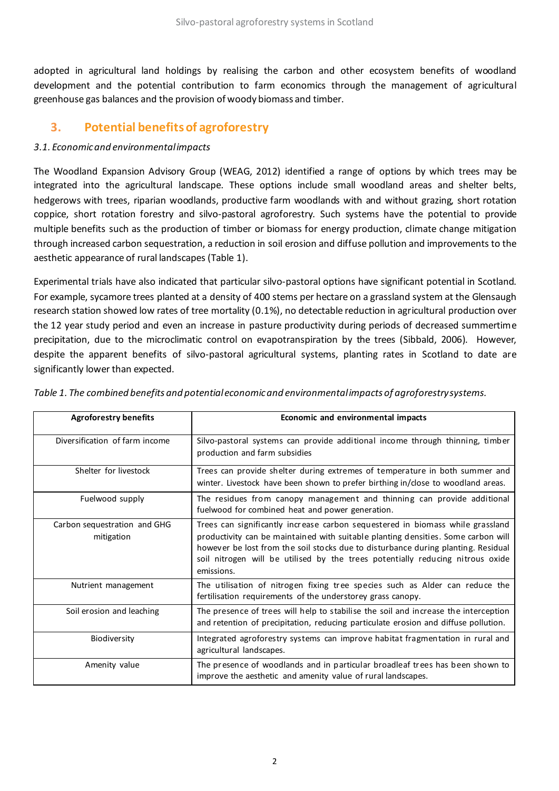adopted in agricultural land holdings by realising the carbon and other ecosystem benefits of woodland development and the potential contribution to farm economics through the management of agricultural greenhouse gas balances and the provision of woody biomass and timber.

## **3. Potential benefits of agroforestry**

#### *3.1. Economic and environmental impacts*

The Woodland Expansion Advisory Group (WEAG, 2012) identified a range of options by which trees may be integrated into the agricultural landscape. These options include small woodland areas and shelter belts, hedgerows with trees, riparian woodlands, productive farm woodlands with and without grazing, short rotation coppice, short rotation forestry and silvo-pastoral agroforestry. Such systems have the potential to provide multiple benefits such as the production of timber or biomass for energy production, climate change mitigation through increased carbon sequestration, a reduction in soil erosion and diffuse pollution and improvements to the aesthetic appearance of rural landscapes (Table 1).

Experimental trials have also indicated that particular silvo-pastoral options have significant potential in Scotland. For example, sycamore trees planted at a density of 400 stems per hectare on a grassland system at the Glensaugh research station showed low rates of tree mortality (0.1%), no detectable reduction in agricultural production over the 12 year study period and even an increase in pasture productivity during periods of decreased summertime precipitation, due to the microclimatic control on evapotranspiration by the trees (Sibbald, 2006). However, despite the apparent benefits of silvo-pastoral agricultural systems, planting rates in Scotland to date are significantly lower than expected.

| <b>Agroforestry benefits</b>               | Economic and environmental impacts                                                                                                                                                                                                                                                                                                                       |
|--------------------------------------------|----------------------------------------------------------------------------------------------------------------------------------------------------------------------------------------------------------------------------------------------------------------------------------------------------------------------------------------------------------|
| Diversification of farm income             | Silvo-pastoral systems can provide additional income through thinning, timber<br>production and farm subsidies                                                                                                                                                                                                                                           |
| Shelter for livestock                      | Trees can provide shelter during extremes of temperature in both summer and<br>winter. Livestock have been shown to prefer birthing in/close to woodland areas.                                                                                                                                                                                          |
| Fuelwood supply                            | The residues from canopy management and thinning can provide additional<br>fuelwood for combined heat and power generation.                                                                                                                                                                                                                              |
| Carbon sequestration and GHG<br>mitigation | Trees can significantly increase carbon sequestered in biomass while grassland<br>productivity can be maintained with suitable planting densities. Some carbon will<br>however be lost from the soil stocks due to disturbance during planting. Residual<br>soil nitrogen will be utilised by the trees potentially reducing nitrous oxide<br>emissions. |
| Nutrient management                        | The utilisation of nitrogen fixing tree species such as Alder can reduce the<br>fertilisation requirements of the understorey grass canopy.                                                                                                                                                                                                              |
| Soil erosion and leaching                  | The presence of trees will help to stabilise the soil and increase the interception<br>and retention of precipitation, reducing particulate erosion and diffuse pollution.                                                                                                                                                                               |
| Biodiversity                               | Integrated agroforestry systems can improve habitat fragmentation in rural and<br>agricultural landscapes.                                                                                                                                                                                                                                               |
| Amenity value                              | The presence of woodlands and in particular broadleaf trees has been shown to<br>improve the aesthetic and amenity value of rural landscapes.                                                                                                                                                                                                            |

*Table 1. The combined benefits and potential economic and environmental impacts of agroforestry systems.*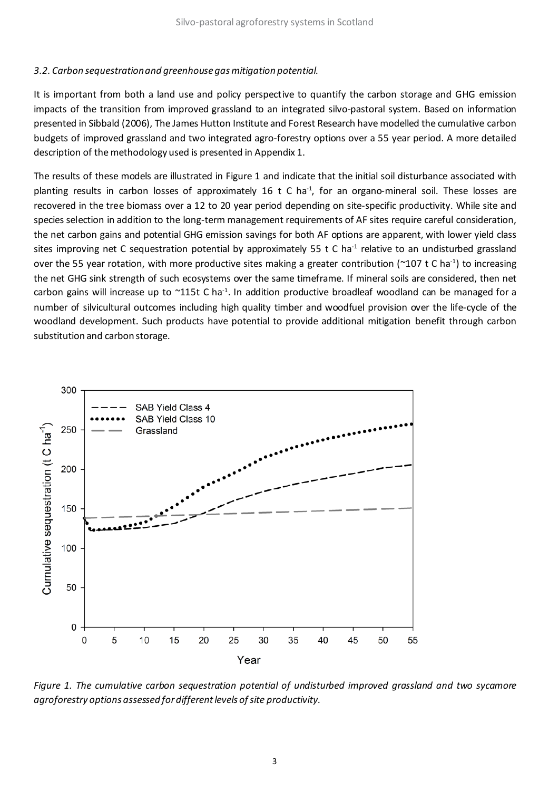#### *3.2. Carbon sequestration and greenhouse gas mitigation potential.*

It is important from both a land use and policy perspective to quantify the carbon storage and GHG emission impacts of the transition from improved grassland to an integrated silvo-pastoral system. Based on information presented in Sibbald (2006), The James Hutton Institute and Forest Research have modelled the cumulative carbon budgets of improved grassland and two integrated agro-forestry options over a 55 year period. A more detailed description of the methodology used is presented in Appendix 1.

The results of these models are illustrated in Figure 1 and indicate that the initial soil disturbance associated with planting results in carbon losses of approximately 16 t C ha<sup>-1</sup>, for an organo-mineral soil. These losses are recovered in the tree biomass over a 12 to 20 year period depending on site-specific productivity. While site and species selection in addition to the long-term management requirements of AF sites require careful consideration, the net carbon gains and potential GHG emission savings for both AF options are apparent, with lower yield class sites improving net C sequestration potential by approximately 55 t C ha<sup>-1</sup> relative to an undisturbed grassland over the 55 year rotation, with more productive sites making a greater contribution ( $\sim$ 107 t C ha<sup>-1</sup>) to increasing the net GHG sink strength of such ecosystems over the same timeframe. If mineral soils are considered, then net carbon gains will increase up to  $\sim$ 115t C ha<sup>-1</sup>. In addition productive broadleaf woodland can be managed for a number of silvicultural outcomes including high quality timber and woodfuel provision over the life-cycle of the woodland development. Such products have potential to provide additional mitigation benefit through carbon substitution and carbon storage.



*Figure 1. The cumulative carbon sequestration potential of undisturbed improved grassland and two sycamore agroforestry options assessed for different levels of site productivity.*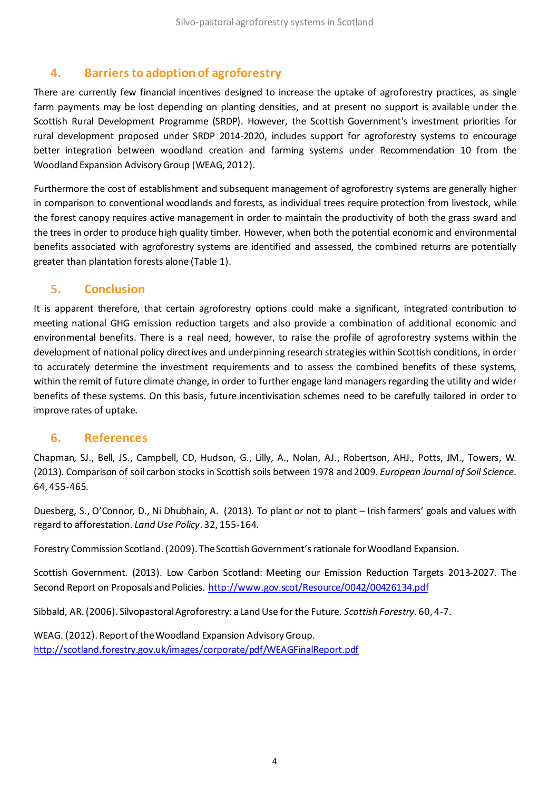## **4. Barriers to adoption of agroforestry**

There are currently few financial incentives designed to increase the uptake of agroforestry practices, as single farm payments may be lost depending on planting densities, and at present no support is available under the Scottish Rural Development Programme (SRDP). However, the Scottish Government's investment priorities for rural development proposed under SRDP 2014-2020, includes support for agroforestry systems to encourage better integration between woodland creation and farming systems under Recommendation 10 from the Woodland Expansion Advisory Group (WEAG, 2012).

Furthermore the cost of establishment and subsequent management of agroforestry systems are generally higher in comparison to conventional woodlands and forests, as individual trees require protection from livestock, while the forest canopy requires active management in order to maintain the productivity of both the grass sward and the trees in order to produce high quality timber. However, when both the potential economic and environmental benefits associated with agroforestry systems are identified and assessed, the combined returns are potentially greater than plantation forests alone (Table 1).

### **5. Conclusion**

It is apparent therefore, that certain agroforestry options could make a significant, integrated contribution to meeting national GHG emission reduction targets and also provide a combination of additional economic and environmental benefits. There is a real need, however, to raise the profile of agroforestry systems within the development of national policy directives and underpinning research strategies within Scottish conditions, in order to accurately determine the investment requirements and to assess the combined benefits of these systems, within the remit of future climate change, in order to further engage land managers regarding the utility and wider benefits of these systems. On this basis, future incentivisation schemes need to be carefully tailored in order to improve rates of uptake.

#### **6. References**

Chapman, SJ., Bell, JS., Campbell, CD, Hudson, G., Lilly, A., Nolan, AJ., Robertson, AHJ., Potts, JM., Towers, W. (2013). Comparison of soil carbon stocks in Scottish soils between 1978 and 2009. *European Journal of Soil Science*. 64, 455-465.

Duesberg, S., O'Connor, D., Ni Dhubhain, A. (2013). To plant or not to plant – Irish farmers' goals and values with regard to afforestation. *Land Use Policy*. 32, 155-164.

Forestry Commission Scotland. (2009). The Scottish Government's rationale for Woodland Expansion.

Scottish Government. (2013). Low Carbon Scotland: Meeting our Emission Reduction Targets 2013-2027. The Second Report on Proposals and Policies. <http://www.gov.scot/Resource/0042/00426134.pdf>

Sibbald, AR. (2006). Silvopastoral Agroforestry: a Land Use for the Future. *Scottish Forestry*. 60, 4-7.

WEAG. (2012). Report of the Woodland Expansion Advisory Group. <http://scotland.forestry.gov.uk/images/corporate/pdf/WEAGFinalReport.pdf>